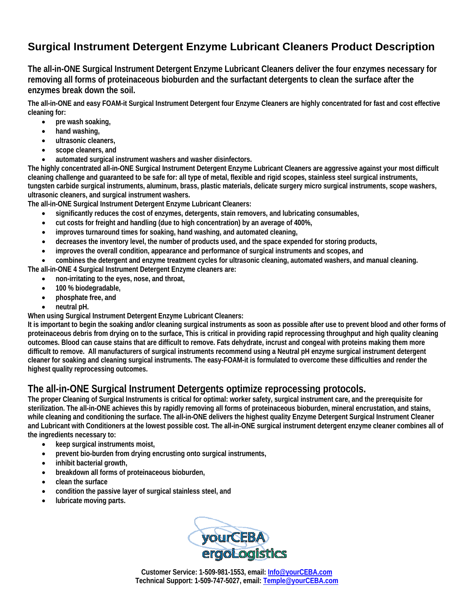# **Surgical Instrument Detergent [Enzyme Lubricant Cleaners](http://www.surgicalinstrumentcleaner.com/Enzymes-Detergents-enzymatic-enzyme-detergents.html) Product Description**

**The all-in-ONE Surgical Instrument Detergent [Enzyme Lubricant Cleaners](http://www.surgicalinstrumentcleaner.com/Enzymes-Detergents-enzymatic-enzyme-detergents.html) deliver the four enzymes necessary for removing all forms of proteinaceous bioburden and the surfactant detergents to clean the surface after the enzymes break down the soil.** 

**The all-in-ONE and easy FOAM-it Surgical Instrument Detergent four Enzyme Cleaners are highly concentrated for fast and cost effective cleaning for:** 

- **pre wash soaking,**
- **hand washing,**
- **ultrasonic cleaners,**
- **scope cleaners, and**
- **automated surgical instrument washers and washer disinfectors.**

**The highly concentrated all-in-ONE Surgical Instrument Detergent Enzyme Lubricant Cleaners are aggressive against your most difficult cleaning challenge and guaranteed to be safe for: all type of metal, flexible and rigid scopes, stainless steel surgical instruments, tungsten carbide surgical instruments, aluminum, brass, plastic materials, delicate surgery micro surgical instruments, scope washers, ultrasonic cleaners, and surgical instrument washers.** 

**The all-in-ONE Surgical Instrument Detergent [Enzyme Lubricant Cleaners](http://www.surgicalinstrumentcleaner.com/Enzymes-Detergents-enzymatic-enzyme-detergents.html):** 

- **significantly reduces the cost of enzymes, detergents, stain removers, and lubricating consumables,**
- **cut costs for freight and handling (due to high concentration) by an average of 400%,**
- **improves turnaround times for soaking, hand washing, and automated cleaning,**
- **decreases the inventory level, the number of products used, and the space expended for storing products,**
- **improves the overall condition, appearance and performance of surgical instruments and scopes, and**
- **combines the detergent and enzyme treatment cycles for ultrasonic cleaning, automated washers, and manual cleaning.**

**The all-in-ONE 4 Surgical Instrument Detergent Enzyme cleaners are:** 

- **non-irritating to the eyes, nose, and throat,**
- **100 % biodegradable,**
- **phosphate free, and**
- **neutral pH.**

**When using Surgical Instrument Detergent [Enzyme Lubricant Cleaners](http://www.surgicalinstrumentcleaner.com/Enzymes-Detergents-enzymatic-enzyme-detergents.html):** 

**It is important to begin the soaking and/or cleaning surgical instruments as soon as possible after use to prevent blood and other forms of proteinaceous debris from drying on to the surface, This is critical in providing rapid reprocessing throughput and high quality cleaning outcomes. Blood can cause stains that are difficult to remove. Fats dehydrate, incrust and congeal with proteins making them more difficult to remove. All manufacturers of surgical instruments recommend using a Neutral pH enzyme surgical instrument detergent cleaner for soaking and cleaning surgical instruments. The easy-FOAM-it is formulated to overcome these difficulties and render the highest quality reprocessing outcomes.** 

#### **The all-in-ONE Surgical Instrument Detergents optimize reprocessing protocols.**

**The proper Cleaning of Surgical Instruments is critical for optimal: worker safety, surgical instrument care, and the prerequisite for sterilization. The all-in-ONE achieves this by rapidly removing all forms of proteinaceous bioburden, mineral encrustation, and stains, while cleaning and conditioning the surface. The all-in-ONE delivers the highest quality Enzyme Detergent [Surgical Instrument Cleaner](http://www.surgicalinstrumentcleaner.com/index.html) and Lubricant with Conditioners at the lowest possible cost. The all-in-ONE surgical instrument detergent enzyme cleaner combines all of the ingredients necessary to:** 

- **keep surgical instruments moist,**
- **prevent bio-burden from drying encrusting onto surgical instruments,**
- **inhibit bacterial growth,**
- **breakdown all forms of proteinaceous bioburden,**
- **clean the surface**
- **condition the passive layer of surgical stainless steel, and**
- **lubricate moving parts.**



**Customer Service: 1-509-981-1553, email: Info@yourCEBA.com Technical Support: 1-509-747-5027, email: Temple@yourCEBA.com**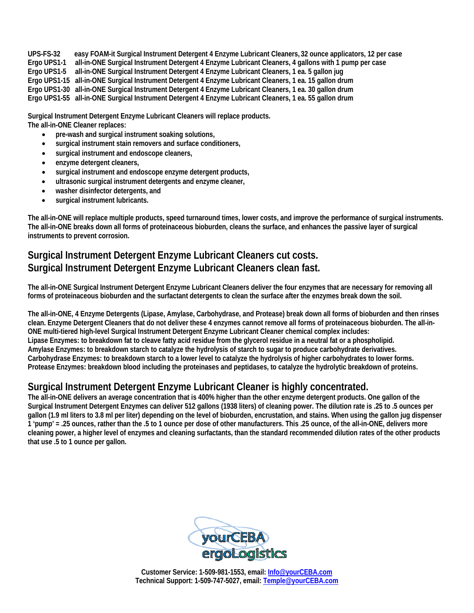**UPS-FS-32 easy FOAM-it Surgical Instrument Detergent 4 Enzyme Lubricant Cleaners, 32 ounce applicators, 12 per case Ergo UPS1-1 all-in-ONE Surgical Instrument Detergent 4 Enzyme Lubricant Cleaners, 4 gallons with 1 pump per case Ergo UPS1-5 all-in-ONE Surgical Instrument Detergent 4 Enzyme Lubricant Cleaners, 1 ea. 5 gallon jug Ergo UPS1-15 all-in-ONE Surgical Instrument Detergent 4 Enzyme Lubricant Cleaners, 1 ea. 15 gallon drum Ergo UPS1-30 all-in-ONE Surgical Instrument Detergent 4 Enzyme Lubricant Cleaners, 1 ea. 30 gallon drum** 

**Ergo UPS1-55 all-in-ONE Surgical Instrument Detergent 4 Enzyme Lubricant Cleaners, 1 ea. 55 gallon drum** 

**Surgical Instrument Detergent [Enzyme Lubricant Cleaners](http://www.surgicalinstrumentcleaner.com/Enzymes-Detergents-enzymatic-enzyme-detergents.html) will replace products. The all-in-ONE Cleaner replaces:** 

- **pre-wash and surgical instrument soaking solutions,**
- **surgical instrument stain removers and surface conditioners,**
- **surgical instrument and endoscope cleaners,**
- **enzyme detergent cleaners,**
- **surgical instrument and endoscope enzyme detergent products,**
- **ultrasonic surgical instrument detergents and enzyme cleaner,**
- **washer disinfector detergents, and**
- **surgical instrument lubricants.**

**The all-in-ONE will replace multiple products, speed turnaround times, lower costs, and improve the performance of surgical instruments. The all-in-ONE breaks down all forms of proteinaceous bioburden, cleans the surface, and enhances the passive layer of surgical instruments to prevent corrosion.** 

## **Surgical Instrument Detergent [Enzyme Lubricant Cleaners](http://www.surgicalinstrumentcleaner.com/Enzymes-Detergents-enzymatic-enzyme-detergents.html) cut costs. Surgical Instrument Detergent [Enzyme Lubricant Cleaners](http://www.surgicalinstrumentcleaner.com/Enzymes-Detergents-enzymatic-enzyme-detergents.html) clean fast.**

**The all-in-ONE Surgical Instrument Detergent [Enzyme Lubricant Cleaners](http://www.surgicalinstrumentcleaner.com/Enzymes-Detergents-enzymatic-enzyme-detergents.html) deliver the four enzymes that are necessary for removing all forms of proteinaceous bioburden and the surfactant detergents to clean the surface after the enzymes break down the soil.** 

**The all-in-ONE, 4 Enzyme Detergents (Lipase, Amylase, Carbohydrase, and Protease) break down all forms of bioburden and then rinses clean. Enzyme Detergent Cleaners that do not deliver these 4 enzymes cannot remove all forms of proteinaceous bioburden. The all-in-ONE multi-tiered high-level Surgical Instrument Detergent Enzyme Lubricant Cleaner chemical complex includes: Lipase Enzymes: to breakdown fat to cleave fatty acid residue from the glycerol residue in a neutral fat or a phospholipid. Amylase Enzymes: to breakdown starch to catalyze the hydrolysis of starch to sugar to produce carbohydrate derivatives. Carbohydrase Enzymes: to breakdown starch to a lower level to catalyze the hydrolysis of higher carbohydrates to lower forms. Protease Enzymes: breakdown blood including the proteinases and peptidases, to catalyze the hydrolytic breakdown of proteins.** 

### **Surgical Instrument Detergent [Enzyme Lubricant Cleaner](http://www.surgicalinstrumentcleaner.com/Enzymes-Detergents-enzymatic-enzyme-detergents.html) is highly concentrated.**

**The all-in-ONE delivers an average concentration that is 400% higher than the other enzyme detergent products. One gallon of the Surgical Instrument Detergent Enzymes can deliver 512 gallons (1938 liters) of cleaning power. The dilution rate is .25 to .5 ounces per gallon (1.9 ml liters to 3.8 ml per liter) depending on the level of bioburden, encrustation, and stains. When using the gallon jug dispenser 1 'pump' = .25 ounces, rather than the .5 to 1 ounce per dose of other manufacturers. This .25 ounce, of the all-in-ONE, delivers more cleaning power, a higher level of enzymes and cleaning surfactants, than the standard recommended dilution rates of the other products that use .5 to 1 ounce per gallon.** 



**Customer Service: 1-509-981-1553, email: Info@yourCEBA.com Technical Support: 1-509-747-5027, email: Temple@yourCEBA.com**